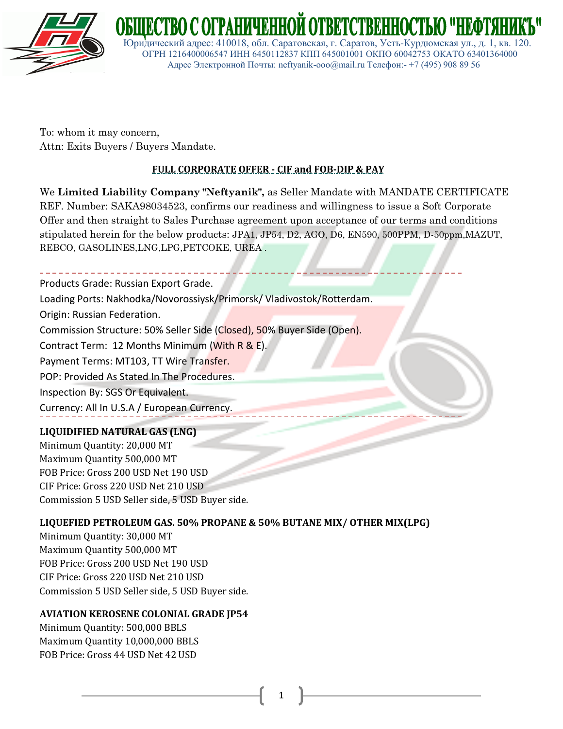

To: whom it may concern, Attn: Exits Buyers / Buyers Mandate.

# **FULL CORPORATE OFFER - CIF and FOB-DIP & PAY**

 Юридический адрес: 410018, обл. Саратовская, г. Саратов, Усть-Курдюмская ул., д. 1, кв. 120. ОГРН 1216400006547 ИНН 6450112837 КПП 645001001 ОКПО 60042753 ОКАТО 63401364000 Адрес Электронной Почты: neftyanik-ooo@mail.ru Телефон:- +7 (495) 908 89 56

We **Limited Liability Company "Neftyanik",** as Seller Mandate with MANDATE CERTIFICATE REF. Number: SAKA98034523, confirms our readiness and willingness to issue a Soft Corporate Offer and then straight to Sales Purchase agreement upon acceptance of our terms and conditions stipulated herein for the below products: JPA1, JP54, D2, AGO, D6, EN590, 500PPM, D-50ppm,MAZUT, REBCO, GASOLINES,LNG,LPG,PETCOKE, UREA .

Products Grade: Russian Export Grade.

Loading Ports: Nakhodka/Novorossiysk/Primorsk/ Vladivostok/Rotterdam.

Origin: Russian Federation.

Commission Structure: 50% Seller Side (Closed), 50% Buyer Side (Open).

Contract Term: 12 Months Minimum (With R & E).

Payment Terms: MT103, TT Wire Transfer.

POP: Provided As Stated In The Procedures.

Inspection By: SGS Or Equivalent.

Currency: All In U.S.A / European Currency.

## **LIQUIDIFIED NATURAL GAS (LNG)**

Minimum Quantity: 20,000 MT Maximum Quantity 500,000 MT FOB Price: Gross 200 USD Net 190 USD CIF Price: Gross 220 USD Net 210 USD Commission 5 USD Seller side, 5 USD Buyer side.

## **LIQUEFIED PETROLEUM GAS. 50% PROPANE & 50% BUTANE MIX/ OTHER MIX(LPG)**

Minimum Quantity: 30,000 MT Maximum Quantity 500,000 MT FOB Price: Gross 200 USD Net 190 USD CIF Price: Gross 220 USD Net 210 USD Commission 5 USD Seller side, 5 USD Buyer side.

### **AVIATION KEROSENE COLONIAL GRADE JP54**

Minimum Quantity: 500,000 BBLS Maximum Quantity 10,000,000 BBLS FOB Price: Gross 44 USD Net 42 USD

1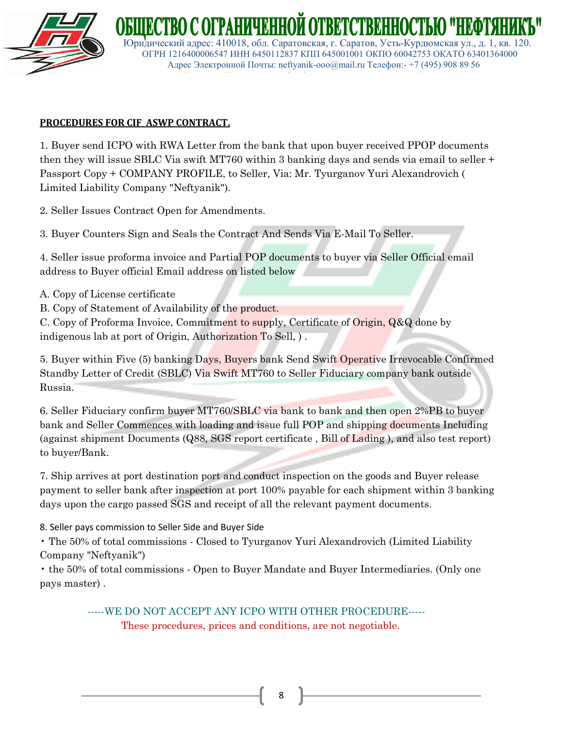

 Юридический адрес: 410018, обл. Саратовская, г. Саратов, Усть-Курдюмская ул., д. 1, кв. 120. ОГРН 1216400006547 ИНН 6450112837 КПП 645001001 ОКПО 60042753 ОКАТО 63401364000 Адрес Электронной Почты: neftyanik-ooo@mail.ru Телефон:- +7 (495) 908 89 56

### **PROCEDURES FOR CIF ASWP CONTRACT.**

1. Buyer send ICPO with RWA Letter from the bank that upon buyer received PPOP documents then they will issue SBLC Via swift MT760 within 3 banking days and sends via email to seller + Passport Copy + COMPANY PROFILE, to Seller, Via: Mr. Tyurganov Yuri Alexandrovich ( Limited Liability Company "Neftyanik").

2. Seller Issues Contract Open for Amendments.

3. Buyer Counters Sign and Seals the Contract And Sends Via E-Mail To Seller.

4. Seller issue proforma invoice and Partial POP documents to buyer via Seller Official email address to Buyer official Email address on listed below

- A. Copy of License certificate
- B. Copy of Statement of Availability of the product.

C. Copy of Proforma Invoice, Commitment to supply, Certificate of Origin, Q&Q done by indigenous lab at port of Origin, Authorization To Sell, ) .

5. Buyer within Five (5) banking Days, Buyers bank Send Swift Operative Irrevocable Confirmed Standby Letter of Credit (SBLC) Via Swift MT760 to Seller Fiduciary company bank outside Russia.

6. Seller Fiduciary confirm buyer MT760/SBLC via bank to bank and then open 2%PB to buyer bank and Seller Commences with loading and issue full POP and shipping documents Including (against shipment Documents (Q88, SGS report certificate , Bill of Lading ), and also test report) to buyer/Bank.

7. Ship arrives at port destination port and conduct inspection on the goods and Buyer release payment to seller bank after inspection at port 100% payable for each shipment within 3 banking days upon the cargo passed SGS and receipt of all the relevant payment documents.

8. Seller pays commission to Seller Side and Buyer Side

• The 50% of total commissions - Closed to Tyurganov Yuri Alexandrovich (Limited Liability Company "Neftyanik")

• the 50% of total commissions - Open to Buyer Mandate and Buyer Intermediaries. (Only one pays master) .

> -----WE DO NOT ACCEPT ANY ICPO WITH OTHER PROCEDURE----- These procedures, prices and conditions, are not negotiable.

> > 8